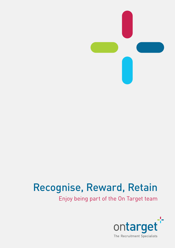

# Recognise, Reward, Retain

Enjoy being part of the On Target team

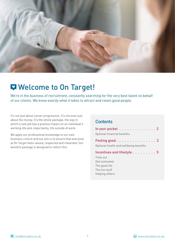

# Welcome to On Target!

We're in the business of recruitment, constantly searching for the very best talent on behalf of our clients. We know exactly what it takes to attract and retain good people.

It's not just about career progression. It's not even just about the money. It's the whole package, the way in which a new job has a positive impact on an individual's working life and, importantly, life outside of work.

We apply our professional knowledge to our own business culture and our aim is to ensure that everyone at On Target feels valued, respected and rewarded. Our benefits package is designed to reflect this.

### **Contents**

| In your pocket $\dots \dots \dots \dots \dots$<br>Optional financial benefits |
|-------------------------------------------------------------------------------|
| Feeling good 3                                                                |
| Optional health and wellbeing benefits                                        |
| Incentives and lifestyle 5                                                    |
| Time out                                                                      |
| Get motivated                                                                 |
| The good life                                                                 |
| The fun stuff                                                                 |
| Helping others                                                                |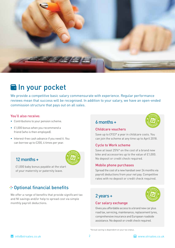

# **a** In your pocket

We provide a competitive basic salary commensurate with experience. Regular performance reviews mean that success will be recognised. In addition to your salary, we have an open-ended commission structure that pays out on all sales.

### You'll also receive:

- • Contributions to your pension scheme.
- £1,000 bonus when you recommend a friend (who is then employed).
- Interest-free cash advance if you need it. You can borrow up to £200, 4 times per year.

# 12 months +



 $\overline{\phantom{a}}$  of your maternity or paternity leave. your maternity or paternity leave. £1,000 baby bonus payable at the start

# + Optional financial benefits

We offer a range of benefits that provide significant tax and NI savings and/or help to spread cost via simple monthly payroll deductions.

### 6 months +



### Childcare vouchers

Save up to £933\* a year in childcare costs. You can join the scheme at any time up to April 2018.

### Cycle to Work scheme

Save at least 25%\* on the cost of a brand new bike and accessories up to the value of £1,000. and decessories up to the retaction

# Mobile phone purchases

or counce prease point and a series of a months via.<br>Spread the cost of a new handset over 24 months via. payroll deductions from your net pay. Competitive rates with no deposit or credit check required.

# 2 years +



### Car salary exchange

Gives you affordable access to a brand new car plus road tax, servicing, maintenance, replacement tyres, comprehensive insurance and European roadside assistance. No deposit or credit check required.

\*Actual saving is dependent on your tax status.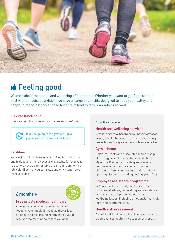

# **E** Feeling good

We care about the health and wellbeing of our people. Whether you want to get fit or need to deal with a medical condition, we have a range of benefits designed to keep you healthy and happy. In many instances these benefits extend to family members as well.

### Flexible lunch hour

Choose a lunch hour to suit you between noon-2pm.



If you're going to the gym we'll give you an extra 15 minutes for lunch.

### **Facilities**

We provide chilled drinking water, free tea and coffee, and fridges and microwaves are available for everyone to use. We have a comfortable break-out room (with a television!) so that you can relax and enjoy lunch away from your desk.

# 6 months +



### Free private medical healthcare

A no-nonsense scheme designed to be responsive to medical needs as they arise. Subject to a background health check, you'll receive treatment at no cost to you at all.

#### 6 months + continued...

### Health and wellbeing services

Access to extensive health and wellness information, savings on dental, eye care, health and beauty products plus dining, eating out and leisure activities.

### Gym scheme

Enjoy free trials and discounted membership at most gyms and health clubs. In addition, My Active Discounts provide great savings on fitness equipment, shoes and clothing, discounted family and adventure days out and sporting discounts including golfing green fees.

### Employee assistance programme

24/7 access for you and your family to free confidential advice, counselling and assistance across a range of personal health and wellbeing issues, including emotional, financial,<br>legal and health matters legal and health matters.

### Health risk assessment

A confidential online service giving you access to a personalised health risk assessment report.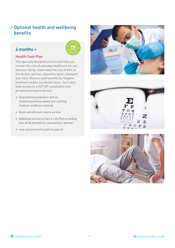# + Optional health and wellbeing benefits

# $\delta$  months +  $\left(\frac{1}{3}\right)$



### Health Cash Plan

This specially designed scheme will help you recover the cost of everyday healthcare for you and your family. Claim back the cost of bills at the dentist, optician, physiotherapist, osteopath and more. Receive cash benefits for hospital treatment and/or accidental injury. You'll also have access to a 24/7 GP consultation and private prescription service.

- • Guaranteed acceptance with no medical questions asked, pre-existing medical conditions covered.
- • Quick and efficient claims service.
- • Additional access to Care 4 Life Plan providing loss of life benefits for you and your partner.
- Low cost premiums paid via payroll.





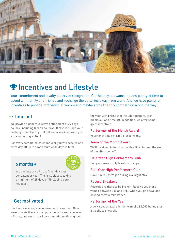

# **PIncentives and Lifestyle**

Your commitment and loyalty deserves recognition. Our holiday allowance means plenty of time to spend with family and friends and recharge the batteries away from work. And we have plenty of incentives to provide motivation at work – and maybe some friendly competition along the way!

# **⊹ Time out**

We provide a generous leave entitlement of 29 days holiday, including 8 bank holidays. It also includes your birthday – don't worry, if it falls on a weekend we'll give you another day in lieu!

For every completed calendar year you will receive one extra day off up to a maximum of 36 days in total.

#### $\sim$   $\sim$   $\sim$   $\sim$   $\sim$   $\sim$ 6 months +



You can buy or sell up to 3 holiday days per calendar year. This is subject to taking a minimum of 28 days off (including bank holidays).

# Get motivated

Hard work is always recognised and rewarded. On a weekly basis there is the opportunity for early leave on a Friday, and we run various competitions throughout

the year with prizes that include vouchers, tech, meals out and time off. In addition, we offer some great incentives:

### Performer of the Month Award

Voucher to value of £150 plus a trophy.

### Team of the Month Award

We'll treat you to lunch out with a Director and the rest of the afternoon off.

### Half-Year High Performers Club

Enjoy a weekend city break in Europe.  $\overline{\text{conv}}$ 

# Full-Year High Performers Club

Have fun in Las Vegas during a 4-night stay.

### Record Breakers

Records are there to be broken! Receive vouchers valued between £50 and £250 when you go above and beyond certain milestones.

### Performer of the Year

A very special award in the form of a £1,500 bonus plus a trophy to show off.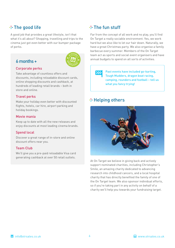# $-$  The good life

A good job that provides a great lifestyle, isn't that what it's all about? Shopping, travelling and trips to the cinema just got even better with our bumper package of perks.

### $\mathfrak{b}$  months +  $\mathfrak{c}$



### Corporate perks

Take advantage of countless offers and discounts, including reloadable discount cards, online shopping discounts and cashback, at hundreds of leading retail brands – both in store and online.

### Travel perks

Make your holiday even better with discounted flights, hotels, car hire, airport parking and holiday bookings.

### Movie mania

Keep up to date with all the new releases and enjoy discounts at most leading cinema brands.

### Spend local

Discover a great range of in-store and online discount offers near you.

### Team Club

We'll give you a pre-paid reloadable Visa card generating cashback at over 50 retail outlets.

# $-$ -The fun stuff

Far from the concept of all work and no play, you'll find On Target a really sociable environment. Yes, we work hard but we also like to let our hair down. Naturally, we have a great Christmas party. We also organise a family barbecue every summer. Members of the On Target team act as sports and social event organisers and have annual budgets to spend on all sorts of activities.



Past events have included go-karting, Tough Mudders, dragon boat racing, camping, rounders and football – tell us what you fancy trying!

# \* Helping others



At On Target we believe in giving back and actively support nominated charities, including Christopher's Smile, an amazing charity dedicated to advancing research into childhood cancers, and a local hospital charity that has directly benefited the family of one of the On Target team. We also sponsor individual efforts, so if you're taking part in any activity on behalf of a charity we'll help you towards your fundraising target.